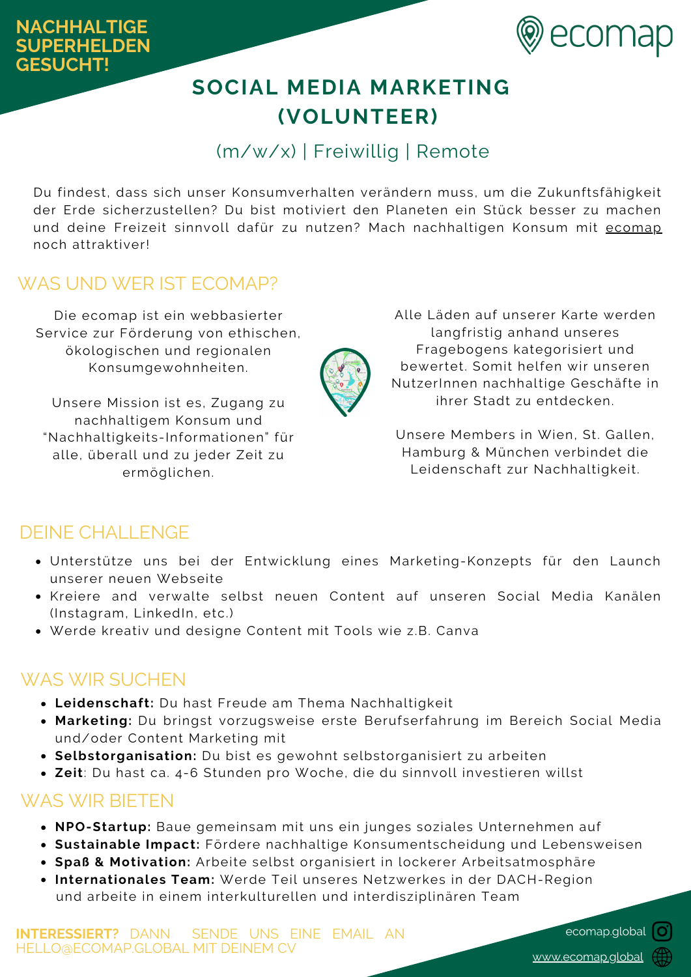

# **SOCIAL MEDIA MARKETING (VOLUNTEER)**

## (m/w/x) | Freiwillig | Remote

Du findest, dass sich unser Konsumverhalten verändern muss, um die Zukunftsfähigkeit der Erde sicherzustellen? Du bist motiviert den Planeten ein Stück besser zu machen und deine Freizeit sinnvoll dafür zu nutzen? Mach nachhaltigen Konsum mit [ecomap](https://ecomap.global/) noch attraktiver!

### WAS UND WER IST ECOMAP?

Die ecomap ist ein webbasierter Service zur Förderung von ethischen, ökologischen und regionalen Konsumgewohnheiten.

Unsere Mission ist es, Zugang zu nachhaltigem Konsum und "Nachhaltigkeits-Informationen" für alle, überall und zu jeder Zeit zu ermöglichen.



Unsere Members in Wien, St. Gallen, Hamburg & München verbindet die Leidenschaft zur Nachhaltigkeit.

### DEINE CHALLENGE

- Unterstütze uns bei der Entwicklung eines Marketing-Konzepts für den Launch unserer neuen Webseite
- Kreiere and verwalte selbst neuen Content auf unseren Social Media Kanälen (Instagram, LinkedIn, etc.)
- Werde kreativ und designe Content mit Tools wie z.B. Canva

### WAS WIR SUCHEN

- **Leidenschaft:** Du hast Freude am Thema Nachhaltigkeit
- **Marketing:** Du bringst vorzugsweise erste Berufserfahrung im Bereich Social Media und/oder Content Marketing mit
- **Selbstorganisation:** Du bist es gewohnt selbstorganisiert zu arbeiten
- **Zeit**: Du hast ca. 4-6 Stunden pro Woche, die du sinnvoll investieren willst

### WAS WIR BIETEN

- **NPO-Startup:** Baue gemeinsam mit uns ein junges soziales Unternehmen auf
- **Sustainable Impact:** Fördere nachhaltige Konsumentscheidung und Lebensweisen
- **Spaß & Motivation:** Arbeite selbst organisiert in lockerer Arbeitsatmosphäre
- **Internationales Team:** Werde Teil unseres Netzwerkes in der DACH-Region und arbeite in einem interkulturellen und interdisziplinären Team